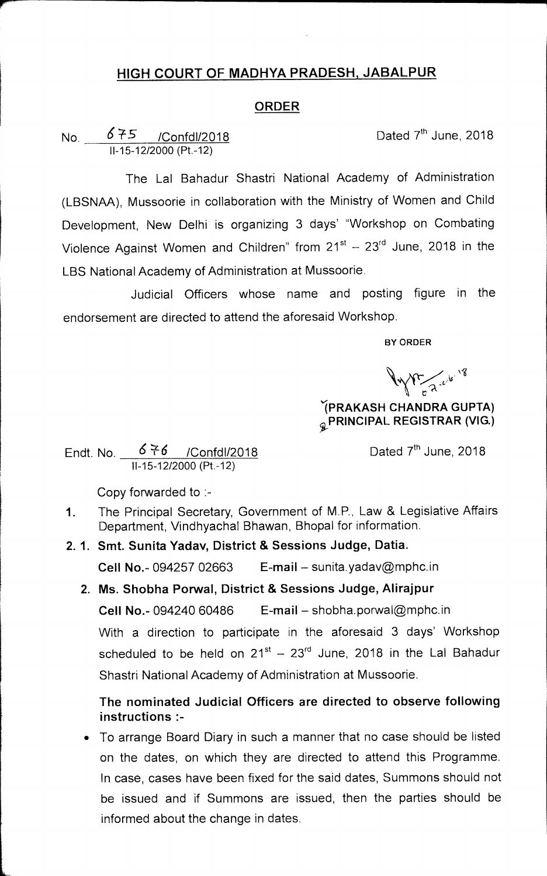## **HIGH COURT OF MADHYA PRADESH, JABALPUR**

## **ORDER**

No.  $675$  /Confdl/2018 **Dated 7<sup>th</sup> June, 2018** <sup>11</sup>-15-12/2000 (Pt.-12)

The Lal Bahadur Shastri National Academy of Administration (LBSNAA), Mussoorie in collaboration with the Ministry of Women and Child Development, New Delhi is organizing 3 days' "Workshop on Combating Violence Against Women and Children" from  $21^{st} - 23^{rd}$  June, 2018 in the LBS National Academy of Administration at Mussoorie.

Judicial Officers whose name and posting figure in the endorsement are directed to attend the aforesaid Workshop.

**BY ORDER** 

**Canal Comments** 

**IPRAKASH CHANDRA GUPTA)**  *Q* PRINCIPAL REGISTRAR (VIG.)

Endt. No.  $\frac{676}{ }$  /Confdl/2018 Dated 7<sup>th</sup> June, 2018 11-15-12/2000 (Pt.-12)

Copy forwarded to :-

- 1. The Principal Secretary, Government of M.P., Law & Legislative Affairs Department, Vindhyachal Bhawan, Bhopal for information.
- **2. 1. Smt. Sunita Yadav, District & Sessions Judge, Datia.**

**Cell No.-** 094257 02663 **E-mail —** sunita.yadav@mphc.in

**2. Ms. Shobha Porwal, District & Sessions Judge, Alirajpur** 

**Cell No.-** 094240 60486 **E-mail —** shobha.porwal@mphc.in

With a direction to participate in the aforesaid 3 days' Workshop scheduled to be held on  $21^{st}$  –  $23^{rd}$  June, 2018 in the Lal Bahadur Shastri National Academy of Administration at Mussoorie.

## **The nominated Judicial Officers are directed to observe following instructions :-**

• To arrange Board Diary in such a manner that no case should be listed on the dates, on which they are directed to attend this Programme. In case, cases have been fixed for the said dates, Summons should not be issued and if Summons are issued, then the parties should be informed about the change in dates.